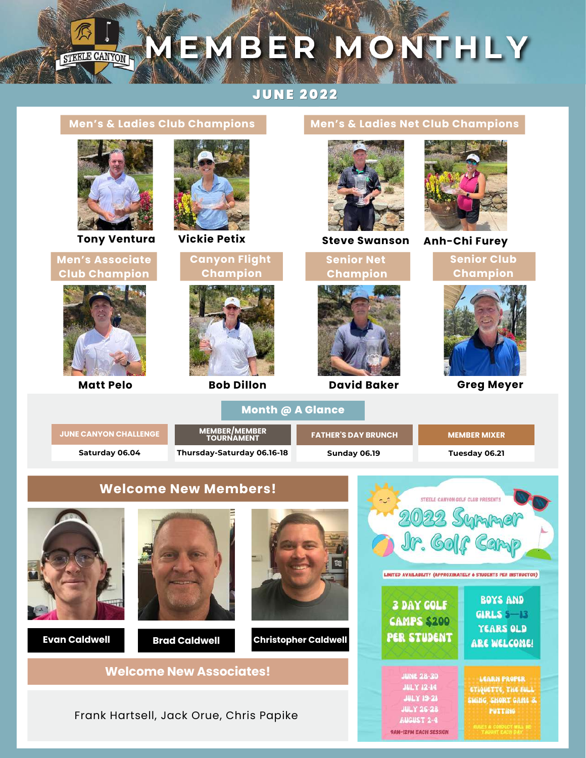# MEMBER MONTHLY STEELE CANYON

#### **JUNE 2022**

#### **Men's & Ladies Club Champions Men's & Ladies Net Club Champions Tony Ventura Vickie Petix Steve Swanson Anh-Chi Furey Senior Club Men's Associate Canyon Flight Senior Net Champion Club Champion Champion Champion Matt Pelo Bob Dillon David Baker Greg Meyer Month @ A Glance JUNE CANYON [CHALLENGE](http://scgc-steelecanyongolfclub.golfgenius.com/register?league_id=8074037423148899727) FATHER'S DAY BRUNCH MEMBER MIXER MEMBER/MEMBER TOURNAMENT Saturday 06.04 Thursday-Saturday 06.16-18 Sunday 06.19 Tuesday 06.21 Welcome New Members!** STEELE CANYON GOLF CLUB PRESENTS LIMITED AVAILABILITY (APPROXIMATELY 6 STUDENTS PER INSTRUCTOR) **BOYS AND 3 DAY GOLF** GIRLS  $5 - 13$ **CAMPS \$200 YEARS OLD PER STUDENT Evan Caldwell Brad Caldwell Christopher Caldwell** ARE WELCOME! **Welcome New Associates! JUNE 28-30** LEARN PROPER **JULY 12-14** ETIQUETTE, THE FULL **JULY 19-21** SWING SHORT GAME & **JULY 26-28** PUTTING Frank Hartsell, Jack Orue, Chris Papike **AUGUST 2-4**

**9AM-12PM EACH SESSION**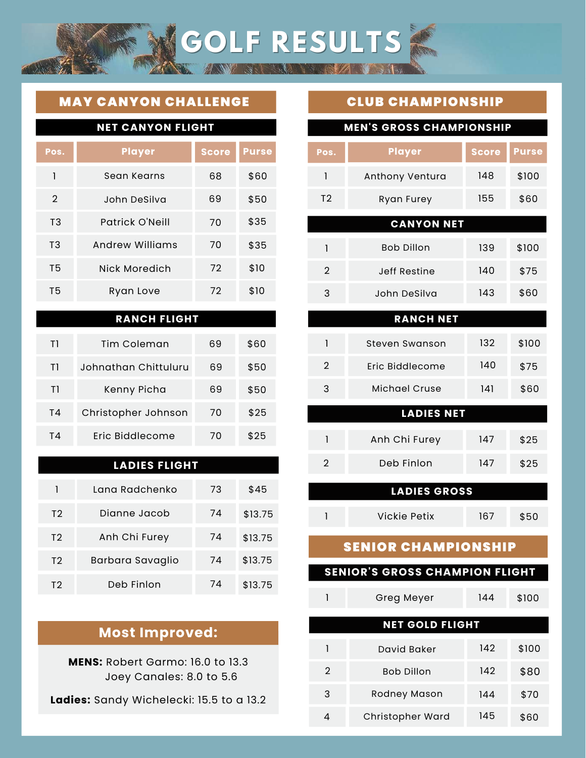## MAY CANYON CHALLENGE

| <b>NET CANYON FLIGHT</b> |                 |              |              |
|--------------------------|-----------------|--------------|--------------|
| Pos.                     | <b>Player</b>   | <b>Score</b> | <b>Purse</b> |
| 1                        | Sean Kearns     | 68           | \$60         |
| $\overline{2}$           | John DeSilva    | 69           | \$50         |
| T <sub>3</sub>           | Patrick O'Neill | 70           | \$35         |
| T <sub>3</sub>           | Andrew Williams | 70           | \$35         |
| T5                       | Nick Moredich   | 72           | \$10         |
| T5                       | Ryan Love       | 72           | \$10         |
|                          |                 |              |              |

#### **RANCH FLIGHT**

| T١ | Tim Coleman          | 69 | \$60 |
|----|----------------------|----|------|
| T1 | Johnathan Chittuluru | 69 | \$50 |
| Τl | Kenny Picha          | 69 | \$50 |
| T4 | Christopher Johnson  | 70 | \$25 |
| ТΔ | Eric Biddlecome      | 70 | \$25 |

#### **LADIES FLIGHT**

|                | Tana Radchenko   | 73 | \$45    |
|----------------|------------------|----|---------|
| T <sub>2</sub> | Dianne Jacob     | 74 | \$13.75 |
| T <sub>2</sub> | Anh Chi Furey    | 74 | \$13.75 |
| T <sub>2</sub> | Barbara Savaglio | 74 | \$13.75 |
| T2             | Deb Finlon       | 74 | \$13.75 |

## **Most Improved:**

**MENS:** Robert Garmo: 16.0 to 13.3 Joey Canales: 8.0 to 5.6

**Ladies:** Sandy Wichelecki: 15.5 to a 13.2

## CLUB CHAMPIONSHIP

**GOLF RESULTS**

| <b>MEN'S GROSS CHAMPIONSHIP</b>       |                      |              |              |
|---------------------------------------|----------------------|--------------|--------------|
| Pos.                                  | <b>Player</b>        | <b>Score</b> | <b>Purse</b> |
| 1                                     | Anthony Ventura      | 148          | \$100        |
| T <sub>2</sub>                        | Ryan Furey           | 155          | \$60         |
|                                       | <b>CANYON NET</b>    |              |              |
| $\mathbf{I}$                          | <b>Bob Dillon</b>    | 139          | \$100        |
| $\overline{2}$                        | <b>Jeff Restine</b>  | 140          | \$75         |
| 3                                     | John DeSilva         | 143          | \$60         |
|                                       | <b>RANCH NET</b>     |              |              |
| 1                                     | Steven Swanson       | 132          | \$100        |
| $\overline{2}$                        | Eric Biddlecome      | 140          | \$75         |
| 3                                     | <b>Michael Cruse</b> | 141          | \$60         |
|                                       | <b>LADIES NET</b>    |              |              |
| 1                                     | Anh Chi Furey        | 147          | \$25         |
| $\overline{2}$                        | Deb Finlon           | 147          | \$25         |
|                                       | <b>LADIES GROSS</b>  |              |              |
| 1                                     | <b>Vickie Petix</b>  | 167          | \$50         |
| <b>SENIOR CHAMPIONSHIP</b>            |                      |              |              |
| <b>SENIOR'S GROSS CHAMPION FLIGHT</b> |                      |              |              |

|                        | Greg Meyer        | 144 | \$100 |
|------------------------|-------------------|-----|-------|
| <b>NET GOLD FLIGHT</b> |                   |     |       |
|                        | David Baker       | 142 | \$100 |
| 2                      | <b>Bob Dillon</b> | 142 | \$80  |
| 3                      | Rodney Mason      | 144 | \$70  |
| 4                      | Christopher Ward  | 145 | \$60  |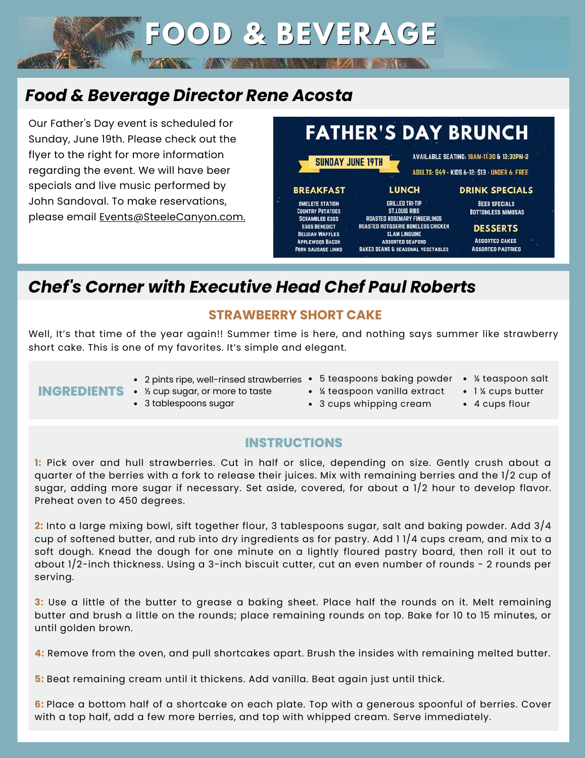# *Food & Beverage Director Rene Acosta*

Our Father's Day event is scheduled for Sunday, June 19th. Please check out the flyer to the right for more information regarding the event. We will have beer specials and live music performed by John Sandoval. To make reservations, please email [Events@SteeleCanyon.com.](mailto:events@steelecanyon.com)



BANG STERN

# *Chef's Corner with Executive Head Chef Paul Roberts*

#### **STRAWBERRY SHORT CAKE**

**FOOD & BEVERAGE**

Well, It's that time of the year again!! Summer time is here, and nothing says summer like strawberry short cake. This is one of my favorites. It's simple and elegant.

## **INGREDIENTS** • % cup sugar, or more to taste

2 pints ripe, well-rinsed strawberries 5 teaspoons baking powder

3 tablespoons sugar

- 
- ¼ teaspoon salt
- ¼ teaspoon vanilla extract 3 cups whipping cream
- 1 % cups butter
- 4 cups flour

## **INSTRUCTIONS**

**1:** Pick over and hull strawberries. Cut in half or slice, depending on size. Gently crush about a quarter of the berries with a fork to release their juices. Mix with remaining berries and the 1/2 cup of sugar, adding more sugar if necessary. Set aside, covered, for about a 1/2 hour to develop flavor. Preheat oven to 450 degrees.

**2:** Into a large mixing bowl, sift together flour, 3 tablespoons sugar, salt and baking powder. Add 3/4 cup of softened butter, and rub into dry ingredients as for pastry. Add 1 1/4 cups cream, and mix to a soft dough. Knead the dough for one minute on a lightly floured pastry board, then roll it out to about 1/2-inch thickness. Using a 3-inch biscuit cutter, cut an even number of rounds - 2 rounds per serving.

**3:** Use a little of the butter to grease a baking sheet. Place half the rounds on it. Melt remaining butter and brush a little on the rounds; place remaining rounds on top. Bake for 10 to 15 minutes, or until golden brown.

**4:** Remove from the oven, and pull shortcakes apart. Brush the insides with remaining melted butter.

**5:** Beat remaining cream until it thickens. Add vanilla. Beat again just until thick.

**6:** Place a bottom half of a shortcake on each plate. Top with a generous spoonful of berries. Cover with a top half, add a few more berries, and top with whipped cream. Serve immediately.